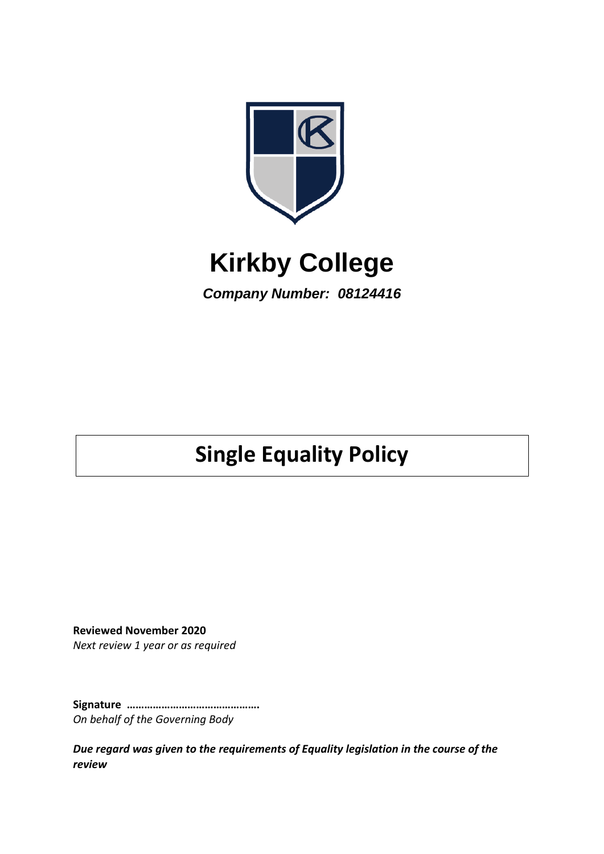

# **Kirkby College**

*Company Number: 08124416*

# **Single Equality Policy**

**Reviewed November 2020** *Next review 1 year or as required*

**Signature ……………………………………….** *On behalf of the Governing Body*

*Due regard was given to the requirements of Equality legislation in the course of the review*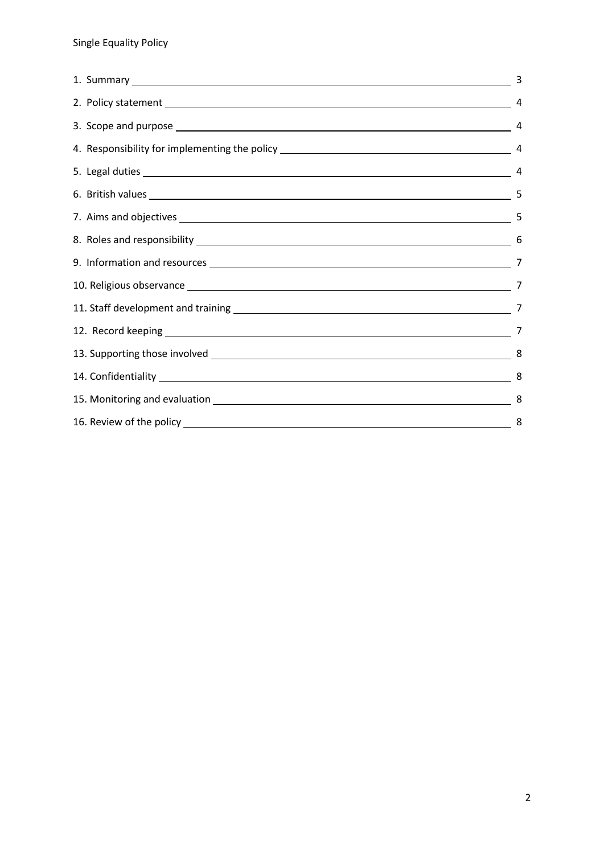| 8. Roles and responsibility 6. The Contract of the Contract of the Contract of the Contract of the Contract of the Contract of the Contract of the Contract of the Contract of the Contract of the Contract of the Contract of |  |
|--------------------------------------------------------------------------------------------------------------------------------------------------------------------------------------------------------------------------------|--|
|                                                                                                                                                                                                                                |  |
|                                                                                                                                                                                                                                |  |
|                                                                                                                                                                                                                                |  |
|                                                                                                                                                                                                                                |  |
|                                                                                                                                                                                                                                |  |
|                                                                                                                                                                                                                                |  |
|                                                                                                                                                                                                                                |  |
|                                                                                                                                                                                                                                |  |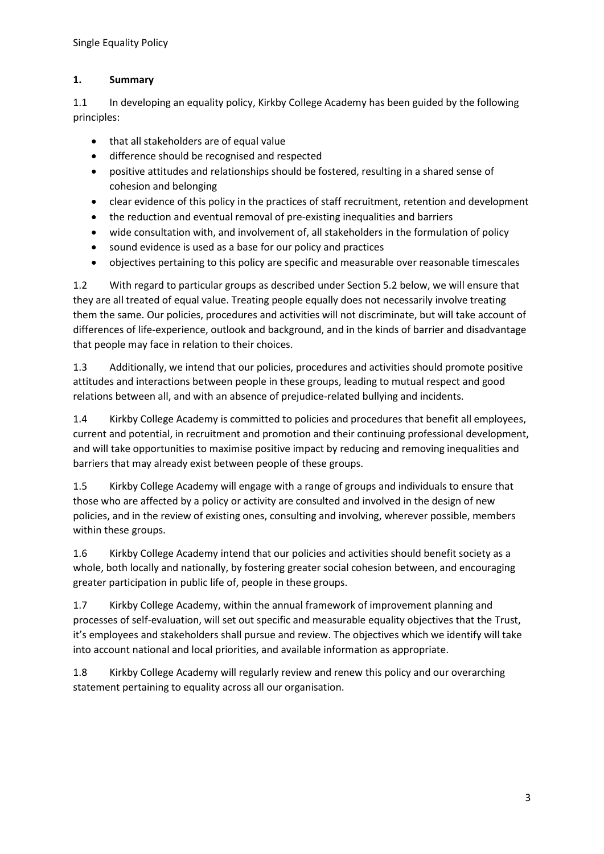# **1. Summary**

1.1 In developing an equality policy, Kirkby College Academy has been guided by the following principles:

- that all stakeholders are of equal value
- difference should be recognised and respected
- positive attitudes and relationships should be fostered, resulting in a shared sense of cohesion and belonging
- clear evidence of this policy in the practices of staff recruitment, retention and development
- the reduction and eventual removal of pre-existing inequalities and barriers
- wide consultation with, and involvement of, all stakeholders in the formulation of policy
- sound evidence is used as a base for our policy and practices
- objectives pertaining to this policy are specific and measurable over reasonable timescales

1.2 With regard to particular groups as described under Section 5.2 below, we will ensure that they are all treated of equal value. Treating people equally does not necessarily involve treating them the same. Our policies, procedures and activities will not discriminate, but will take account of differences of life-experience, outlook and background, and in the kinds of barrier and disadvantage that people may face in relation to their choices.

1.3 Additionally, we intend that our policies, procedures and activities should promote positive attitudes and interactions between people in these groups, leading to mutual respect and good relations between all, and with an absence of prejudice-related bullying and incidents.

1.4 Kirkby College Academy is committed to policies and procedures that benefit all employees, current and potential, in recruitment and promotion and their continuing professional development, and will take opportunities to maximise positive impact by reducing and removing inequalities and barriers that may already exist between people of these groups.

1.5 Kirkby College Academy will engage with a range of groups and individuals to ensure that those who are affected by a policy or activity are consulted and involved in the design of new policies, and in the review of existing ones, consulting and involving, wherever possible, members within these groups.

1.6 Kirkby College Academy intend that our policies and activities should benefit society as a whole, both locally and nationally, by fostering greater social cohesion between, and encouraging greater participation in public life of, people in these groups.

1.7 Kirkby College Academy, within the annual framework of improvement planning and processes of self-evaluation, will set out specific and measurable equality objectives that the Trust, it's employees and stakeholders shall pursue and review. The objectives which we identify will take into account national and local priorities, and available information as appropriate.

1.8 Kirkby College Academy will regularly review and renew this policy and our overarching statement pertaining to equality across all our organisation.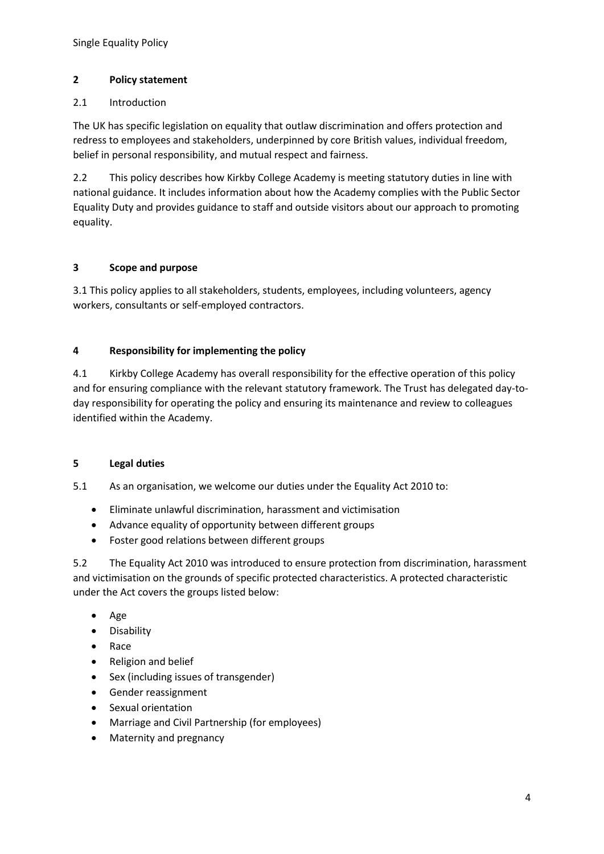## **2 Policy statement**

## 2.1 Introduction

The UK has specific legislation on equality that outlaw discrimination and offers protection and redress to employees and stakeholders, underpinned by core British values, individual freedom, belief in personal responsibility, and mutual respect and fairness.

2.2 This policy describes how Kirkby College Academy is meeting statutory duties in line with national guidance. It includes information about how the Academy complies with the Public Sector Equality Duty and provides guidance to staff and outside visitors about our approach to promoting equality.

## **3 Scope and purpose**

3.1 This policy applies to all stakeholders, students, employees, including volunteers, agency workers, consultants or self-employed contractors.

## **4 Responsibility for implementing the policy**

4.1 Kirkby College Academy has overall responsibility for the effective operation of this policy and for ensuring compliance with the relevant statutory framework. The Trust has delegated day-today responsibility for operating the policy and ensuring its maintenance and review to colleagues identified within the Academy.

#### **5 Legal duties**

5.1 As an organisation, we welcome our duties under the Equality Act 2010 to:

- Eliminate unlawful discrimination, harassment and victimisation
- Advance equality of opportunity between different groups
- Foster good relations between different groups

5.2 The Equality Act 2010 was introduced to ensure protection from discrimination, harassment and victimisation on the grounds of specific protected characteristics. A protected characteristic under the Act covers the groups listed below:

- Age
- Disability
- Race
- Religion and belief
- Sex (including issues of transgender)
- Gender reassignment
- Sexual orientation
- Marriage and Civil Partnership (for employees)
- Maternity and pregnancy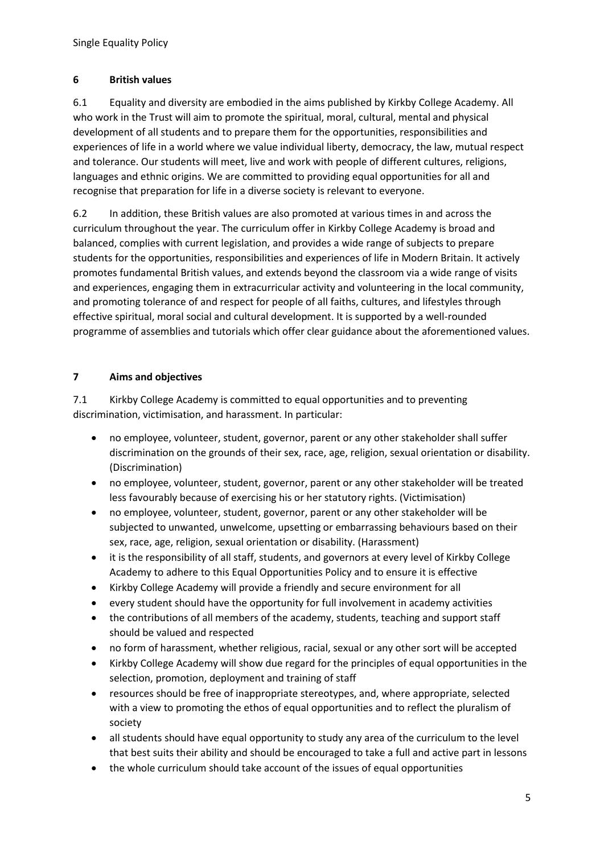## **6 British values**

6.1 Equality and diversity are embodied in the aims published by Kirkby College Academy. All who work in the Trust will aim to promote the spiritual, moral, cultural, mental and physical development of all students and to prepare them for the opportunities, responsibilities and experiences of life in a world where we value individual liberty, democracy, the law, mutual respect and tolerance. Our students will meet, live and work with people of different cultures, religions, languages and ethnic origins. We are committed to providing equal opportunities for all and recognise that preparation for life in a diverse society is relevant to everyone.

6.2 In addition, these British values are also promoted at various times in and across the curriculum throughout the year. The curriculum offer in Kirkby College Academy is broad and balanced, complies with current legislation, and provides a wide range of subjects to prepare students for the opportunities, responsibilities and experiences of life in Modern Britain. It actively promotes fundamental British values, and extends beyond the classroom via a wide range of visits and experiences, engaging them in extracurricular activity and volunteering in the local community, and promoting tolerance of and respect for people of all faiths, cultures, and lifestyles through effective spiritual, moral social and cultural development. It is supported by a well-rounded programme of assemblies and tutorials which offer clear guidance about the aforementioned values.

# **7 Aims and objectives**

7.1 Kirkby College Academy is committed to equal opportunities and to preventing discrimination, victimisation, and harassment. In particular:

- no employee, volunteer, student, governor, parent or any other stakeholder shall suffer discrimination on the grounds of their sex, race, age, religion, sexual orientation or disability. (Discrimination)
- no employee, volunteer, student, governor, parent or any other stakeholder will be treated less favourably because of exercising his or her statutory rights. (Victimisation)
- no employee, volunteer, student, governor, parent or any other stakeholder will be subjected to unwanted, unwelcome, upsetting or embarrassing behaviours based on their sex, race, age, religion, sexual orientation or disability. (Harassment)
- it is the responsibility of all staff, students, and governors at every level of Kirkby College Academy to adhere to this Equal Opportunities Policy and to ensure it is effective
- Kirkby College Academy will provide a friendly and secure environment for all
- every student should have the opportunity for full involvement in academy activities
- the contributions of all members of the academy, students, teaching and support staff should be valued and respected
- no form of harassment, whether religious, racial, sexual or any other sort will be accepted
- Kirkby College Academy will show due regard for the principles of equal opportunities in the selection, promotion, deployment and training of staff
- resources should be free of inappropriate stereotypes, and, where appropriate, selected with a view to promoting the ethos of equal opportunities and to reflect the pluralism of society
- all students should have equal opportunity to study any area of the curriculum to the level that best suits their ability and should be encouraged to take a full and active part in lessons
- the whole curriculum should take account of the issues of equal opportunities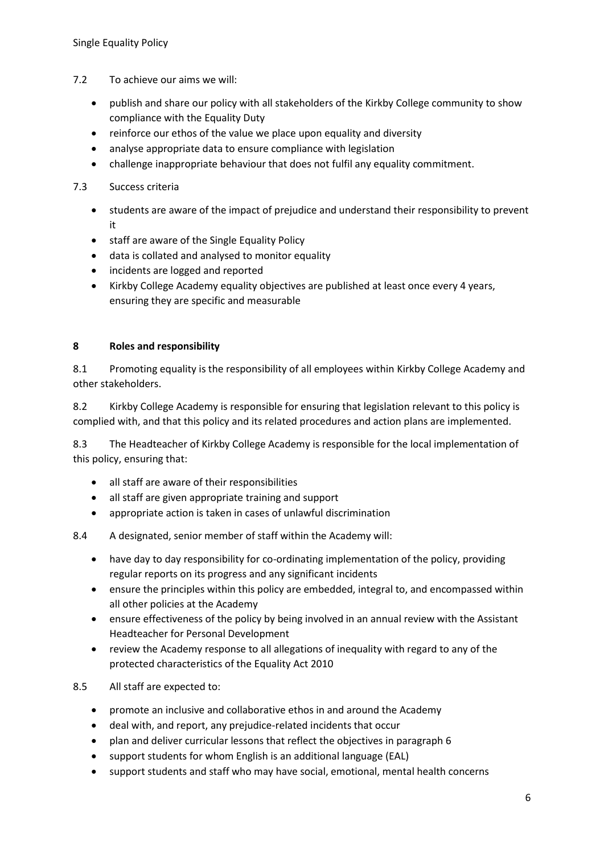- 7.2 To achieve our aims we will:
	- publish and share our policy with all stakeholders of the Kirkby College community to show compliance with the Equality Duty
	- reinforce our ethos of the value we place upon equality and diversity
	- analyse appropriate data to ensure compliance with legislation
	- challenge inappropriate behaviour that does not fulfil any equality commitment.

## 7.3 Success criteria

- students are aware of the impact of prejudice and understand their responsibility to prevent it
- staff are aware of the Single Equality Policy
- data is collated and analysed to monitor equality
- incidents are logged and reported
- Kirkby College Academy equality objectives are published at least once every 4 years, ensuring they are specific and measurable

#### **8 Roles and responsibility**

8.1 Promoting equality is the responsibility of all employees within Kirkby College Academy and other stakeholders.

8.2 Kirkby College Academy is responsible for ensuring that legislation relevant to this policy is complied with, and that this policy and its related procedures and action plans are implemented.

8.3 The Headteacher of Kirkby College Academy is responsible for the local implementation of this policy, ensuring that:

- all staff are aware of their responsibilities
- all staff are given appropriate training and support
- appropriate action is taken in cases of unlawful discrimination

8.4 A designated, senior member of staff within the Academy will:

- have day to day responsibility for co-ordinating implementation of the policy, providing regular reports on its progress and any significant incidents
- ensure the principles within this policy are embedded, integral to, and encompassed within all other policies at the Academy
- ensure effectiveness of the policy by being involved in an annual review with the Assistant Headteacher for Personal Development
- review the Academy response to all allegations of inequality with regard to any of the protected characteristics of the Equality Act 2010

8.5 All staff are expected to:

- promote an inclusive and collaborative ethos in and around the Academy
- deal with, and report, any prejudice-related incidents that occur
- plan and deliver curricular lessons that reflect the objectives in paragraph 6
- support students for whom English is an additional language (EAL)
- support students and staff who may have social, emotional, mental health concerns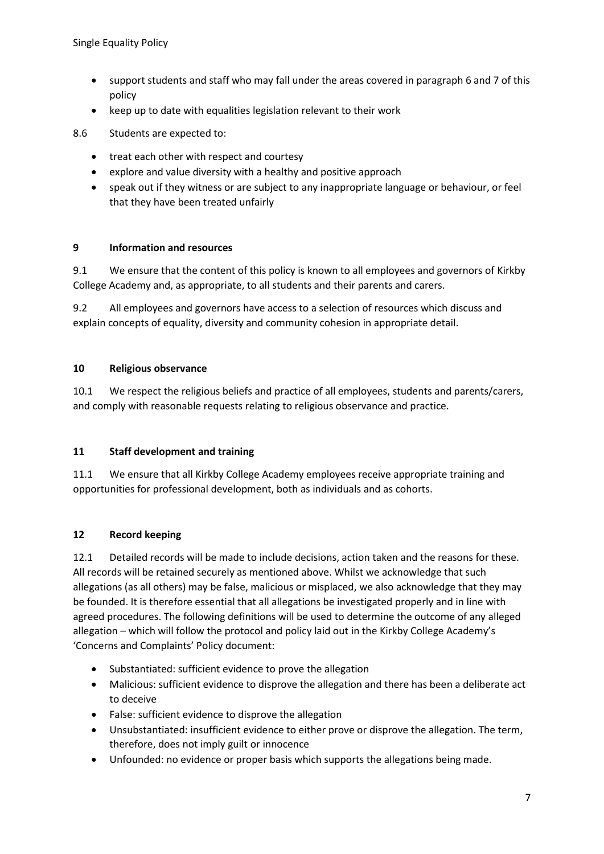- support students and staff who may fall under the areas covered in paragraph 6 and 7 of this policy
- keep up to date with equalities legislation relevant to their work

8.6 Students are expected to:

- treat each other with respect and courtesy
- explore and value diversity with a healthy and positive approach
- speak out if they witness or are subject to any inappropriate language or behaviour, or feel that they have been treated unfairly

#### **9 Information and resources**

9.1 We ensure that the content of this policy is known to all employees and governors of Kirkby College Academy and, as appropriate, to all students and their parents and carers.

9.2 All employees and governors have access to a selection of resources which discuss and explain concepts of equality, diversity and community cohesion in appropriate detail.

#### **10 Religious observance**

10.1 We respect the religious beliefs and practice of all employees, students and parents/carers, and comply with reasonable requests relating to religious observance and practice.

#### **11 Staff development and training**

11.1 We ensure that all Kirkby College Academy employees receive appropriate training and opportunities for professional development, both as individuals and as cohorts.

#### **12 Record keeping**

12.1 Detailed records will be made to include decisions, action taken and the reasons for these. All records will be retained securely as mentioned above. Whilst we acknowledge that such allegations (as all others) may be false, malicious or misplaced, we also acknowledge that they may be founded. It is therefore essential that all allegations be investigated properly and in line with agreed procedures. The following definitions will be used to determine the outcome of any alleged allegation – which will follow the protocol and policy laid out in the Kirkby College Academy's 'Concerns and Complaints' Policy document:

- Substantiated: sufficient evidence to prove the allegation
- Malicious: sufficient evidence to disprove the allegation and there has been a deliberate act to deceive
- False: sufficient evidence to disprove the allegation
- Unsubstantiated: insufficient evidence to either prove or disprove the allegation. The term, therefore, does not imply guilt or innocence
- Unfounded: no evidence or proper basis which supports the allegations being made.